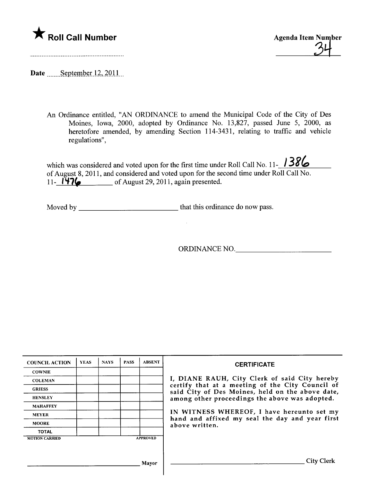

Date September  $12, 2011$ 

An Ordinance entitled, "AN ORDINANCE to amend the Municipal Code of the City of Des Moines, Iowa, 2000, adopted by Ordinance No. 13,827, passed June 5, 2000, as heretofore amended, by amending Section 114-3431, relating to traffic and vehicle regulations",

which was considered and voted upon for the first time under Roll Call No. 11- $\frac{1386}{12}$ of August 8, 2011, and considered and voted upon for the second time under Roll Call No. 11-  $\overrightarrow{1176}$  of August 29, 2011, again presented.

Moved by that this ordinance do now pass.

ORDINANCE NO.

| <b>COUNCIL ACTION</b> | <b>YEAS</b> | <b>NAYS</b> | <b>PASS</b> | <b>ABSENT</b>   | <b>CERTIFICATE</b>                                                                                                                                                                                                                                                                                                         |
|-----------------------|-------------|-------------|-------------|-----------------|----------------------------------------------------------------------------------------------------------------------------------------------------------------------------------------------------------------------------------------------------------------------------------------------------------------------------|
| <b>COWNIE</b>         |             |             |             |                 |                                                                                                                                                                                                                                                                                                                            |
| <b>COLEMAN</b>        |             |             |             |                 | I, DIANE RAUH, City Clerk of said City hereby<br>certify that at a meeting of the City Council of<br>said City of Des Moines, held on the above date,<br>among other proceedings the above was adopted.<br>IN WITNESS WHEREOF, I have hereunto set my<br>hand and affixed my seal the day and year first<br>above written. |
| <b>GRIESS</b>         |             |             |             |                 |                                                                                                                                                                                                                                                                                                                            |
| <b>HENSLEY</b>        |             |             |             |                 |                                                                                                                                                                                                                                                                                                                            |
| <b>MAHAFFEY</b>       |             |             |             |                 |                                                                                                                                                                                                                                                                                                                            |
| <b>MEYER</b>          |             |             |             |                 |                                                                                                                                                                                                                                                                                                                            |
| <b>MOORE</b>          |             |             |             |                 |                                                                                                                                                                                                                                                                                                                            |
| <b>TOTAL</b>          |             |             |             |                 |                                                                                                                                                                                                                                                                                                                            |
| <b>MOTION CARRIED</b> |             |             |             | <b>APPROVED</b> |                                                                                                                                                                                                                                                                                                                            |
|                       |             |             |             |                 |                                                                                                                                                                                                                                                                                                                            |
|                       |             |             |             |                 |                                                                                                                                                                                                                                                                                                                            |
| Mavor                 |             |             |             |                 | City                                                                                                                                                                                                                                                                                                                       |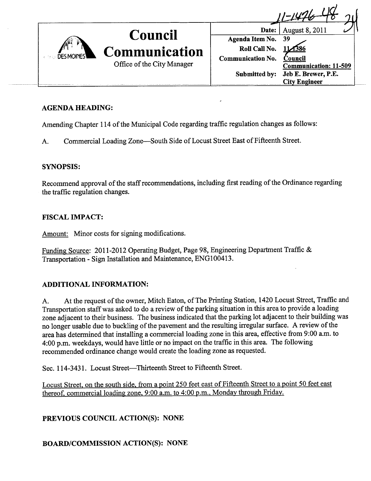

# AGENDA HEADING:

Amending Chapter 114 of the Municipal Code regarding traffic regulation changes as follows:

A. Commercial Loading Zone-South Side of Locust Street East of Fifteenth Street.

### SYNOPSIS:

Recommend approval of the staff recommendations, including first reading of the Ordinance regarding the traffic regulation changes.

## FISCAL IMPACT:

Amount: Minor costs for signing modifications.

Funding Source: 2011-2012 Operating Budget, Page 98, Engineering Department Traffic & Transportation - Sign Installation and Maintenance, ENGI00413.

### ADDITIONAL INFORMATION:

A. At the request of the owner, Mitch Eaton, of The Printing Station, 1420 Locust Street, Traffic and Transportation staff was asked to do a review of the parking situation in this area to provide a loading zone adjacent to their business. The business indicated that the parking lot adjacent to their building was no longer usable due to buckling of the pavement and the resulting irregular surface. A review of the area has determined that installing a commercial loading zone in this area, effective from 9:00 a.m. to 4:00 p.m. weekdays, would have little or no impact on the traffic in this area. The following recommended ordinance change would create the loading zone as requested.

Sec. 114-3431. Locust Street-Thirteenth Street to Fifteenth Street.

Locust Street, on the south side, from a point 250 feet east of Fifteenth Street to a point 50 feet east thereof. commercial loading zone. 9:00 a.m. to 4:00 p.m.. Mondav through Fridav.

PREVIOUS COUNCIL ACTION(S): NONE

BOARD/COMMISSION ACTION(S): NONE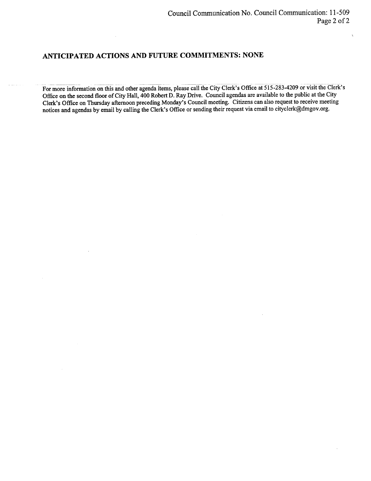#### ANTICIPATED ACTIONS AND FUTURE COMMITMENTS: NONE

For more information on this and other agenda items, please call the City Clerk's Office at 515-283-4209 or visit the Clerk's Office on the second floor of City Hall, 400 Robert D. Ray Drive. Council agendas are available to the public at the City Clerk's Office on Thursday afternoon preceding Monday's Council meeting. Citizens can also request to receive meeting notices and agendas by email by calling the Clerk's Office or sending their request via email to cityclerk@dmgov.org.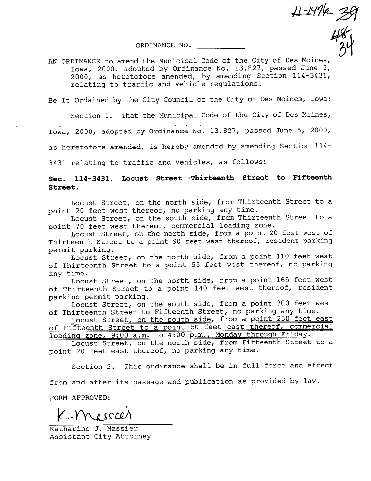$11 - 1476 = 36$ 

ORDINANCE NO.

 $\frac{48}{34}$ AN ORDINANCE to amend the Municipal Code of the City of Des Moines, Iowa, 2000, adopted by Ordinance No. 13,827, passed June 5, 2000, as heretofore amended, by amending Section 114-3431, relating-to-traffic and-vehicle regulations.

Be It Ordained by the City Council of the City of Des Moines, Iowa:

Section 1. That the Municipal Code of the City of Des Moines, Iowa, 2000, adopted by Ordinance No. 13,827, passed June 5, 2000, as heretofore amended, is hereby amended by amending Section 114-

3431 relating to traffic and vehicles, as follows:

See. 114-3431. Locust Street--Thirteenth Street to Fifteenth Street.

Locust Street, on the north side, from Thirteenth Street to a point 20 feet west thereof, no parking any time.

Locust Street, on the south side, from Thirteenth Street to a point 70 feet west thereof, commercial loading zone.

Locust Street, on the north side, from a point 20 feet west of Thirteenth Street to a point 90 feet west thereof, resident parking permit parking.

Locust Street, on the north side, from a point 110 feet west of Thirteenth Street to a point 55 feet west thereof, no parking any time.

Locust Street, on the north side, from a point 165 feet west of Thirteenth Street to a point 140 feet west thereof, resident parking permit parking.

Locust Street, on the south side, from a point 300 feet west of Thirteenth Street to Fifteenth Street, no parking any time.

Locust Street, on the south side, from a point 250 feet east of Fifteenth Street to a point 50 feet east thereof, commercial loadinq zone, 9:00 a.m. to 4:00 p.m., Mondav throuqh Fridav.

Locust Street, on the north side, from Fifteenth Street to a point 20 feet east thereof, no parking any time.

Section 2. This ordinance shall be in full force and effect

from and after its passage and publication as provided by law.

FORM APPROVED:

 $L.M$ sscer

Katharine J. Massier Assistant City Attorney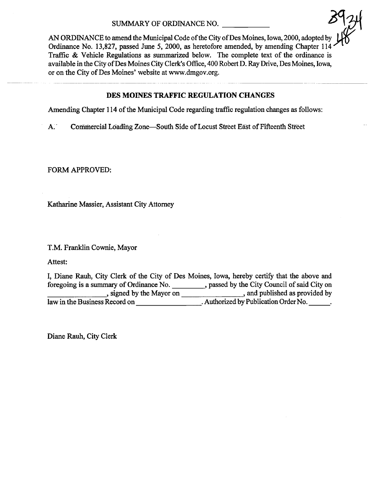AN ORDINANCE to amend the Municipal Code of the City of Des Moines, Iowa, 2000, adopted by Ordinance No. 13,827, passed June 5, 2000, as heretofore amended, by amending Chapter 114 Traffic  $\&$  Vehicle Regulations as summarized below. The complete text of the ordinance is available in the City of Des Moines City Clerk's Office, 400 Robert D. Ray Drive, Des Moines, Iowa, or on the City of Des Moines' website at www.dmgov.org.

## DES MOINES TRAFFIC REGULATION CHANGES

Amending Chapter 114 of the Municipal Code regarding traffic regulation changes as follows:

A. Commercial Loading Zone-South Side of Locust Street East of Fifteenth Street

FORM APPROVED:

Katharine Massier, Assistant City Attorney

T.M. Franklin Cownie, Mayor

Attest:

|                                         | I, Diane Rauh, City Clerk of the City of Des Moines, Iowa, hereby certify that the above and |
|-----------------------------------------|----------------------------------------------------------------------------------------------|
| foregoing is a summary of Ordinance No. | passed by the City Council of said City on                                                   |
| , signed by the Mayor on                | and published as provided by                                                                 |
| law in the Business Record on           | . Authorized by Publication Order No.                                                        |

Diane Rauh, City Clerk